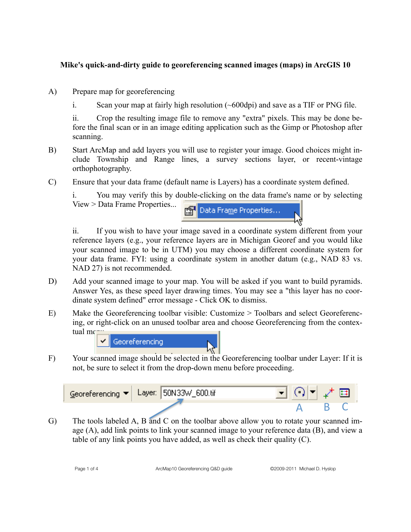## **Mike's quick-and-dirty guide to georeferencing scanned images (maps) in ArcGIS 10**

- A) Prepare map for georeferencing
	- i. Scan your map at fairly high resolution  $(\sim 600$ dpi) and save as a TIF or PNG file.

ii. Crop the resulting image file to remove any "extra" pixels. This may be done before the final scan or in an image editing application such as the Gimp or Photoshop after scanning.

- B) Start ArcMap and add layers you will use to register your image. Good choices might include Township and Range lines, a survey sections layer, or recent-vintage orthophotography.
- C) Ensure that your data frame (default name is Layers) has a coordinate system defined.

i. You may verify this by double-clicking on the data frame's name or by selecting View > Data Frame Properties...



ii. If you wish to have your image saved in a coordinate system different from your reference layers (e.g., your reference layers are in Michigan Georef and you would like your scanned image to be in UTM) you may choose a different coordinate system for your data frame. FYI: using a coordinate system in another datum (e.g., NAD 83 vs. NAD 27) is not recommended.

- D) Add your scanned image to your map. You will be asked if you want to build pyramids. Answer Yes, as these speed layer drawing times. You may see a "this layer has no coordinate system defined" error message - Click OK to dismiss.
- E) Make the Georeferencing toolbar visible: Customize > Toolbars and select Georeferencing, or right-click on an unused toolbar area and choose Georeferencing from the contextual me

Georeferencing

F) Your scanned image should be selected in the Georeferencing toolbar under Layer: If it is not, be sure to select it from the drop-down menu before proceeding.



G) The tools labeled A, B and C on the toolbar above allow you to rotate your scanned image (A), add link points to link your scanned image to your reference data (B), and view a table of any link points you have added, as well as check their quality (C).

Page 1 of 4 ArcMap10 Georeferencing Q&D guide ©2009-2011 Michael D. Hyslop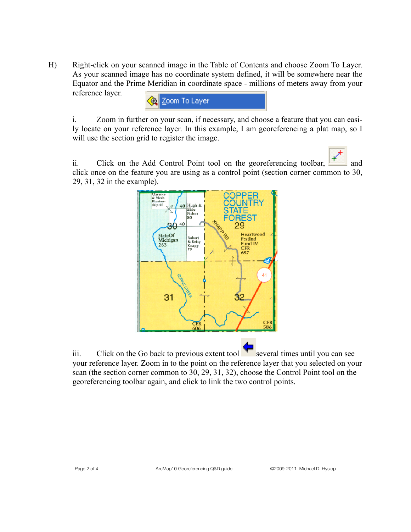H) Right-click on your scanned image in the Table of Contents and choose Zoom To Layer. As your scanned image has no coordinate system defined, it will be somewhere near the Equator and the Prime Meridian in coordinate space - millions of meters away from your reference layer.



i. Zoom in further on your scan, if necessary, and choose a feature that you can easily locate on your reference layer. In this example, I am georeferencing a plat map, so I will use the section grid to register the image.

ii. Click on the Add Control Point tool on the georeferencing toolbar,  $\mathbb{F}$  and click once on the feature you are using as a control point (section corner common to 30, 29, 31, 32 in the example).



iii. Click on the Go back to previous extent tool several times until you can see your reference layer. Zoom in to the point on the reference layer that you selected on your scan (the section corner common to 30, 29, 31, 32), choose the Control Point tool on the georeferencing toolbar again, and click to link the two control points.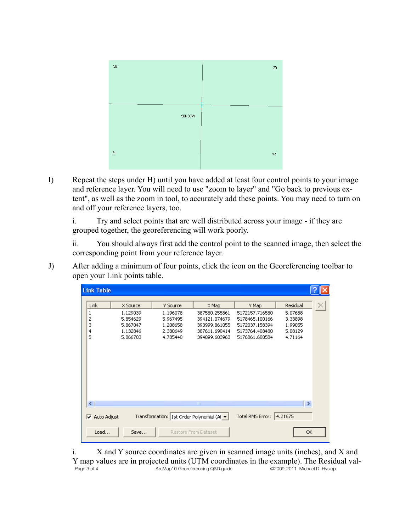

I) Repeat the steps under H) until you have added at least four control points to your image and reference layer. You will need to use "zoom to layer" and "Go back to previous extent", as well as the zoom in tool, to accurately add these points. You may need to turn on and off your reference layers, too.

i. Try and select points that are well distributed across your image - if they are grouped together, the georeferencing will work poorly.

ii. You should always first add the control point to the scanned image, then select the corresponding point from your reference layer.

J) After adding a minimum of four points, click the icon on the Georeferencing toolbar to open your Link points table.

| <b>Link Table</b>                                                                                                                                                         |                                                                      |                                                                      |                                                                                            |                                                                                                 |                                                                 |  |
|---------------------------------------------------------------------------------------------------------------------------------------------------------------------------|----------------------------------------------------------------------|----------------------------------------------------------------------|--------------------------------------------------------------------------------------------|-------------------------------------------------------------------------------------------------|-----------------------------------------------------------------|--|
| Link<br>1<br>2<br>3<br>4<br>5                                                                                                                                             | X Source<br>1.129039<br>5.854629<br>5.867047<br>1.132846<br>5,866703 | Y Source<br>1.196078<br>5.967495<br>1,208658<br>2.380649<br>4.785440 | X Map<br>387580.255861<br>394121.074679<br>393999.861055<br>387611.690414<br>394099,603963 | Y Map<br>5172157.716580<br>5178465.100166<br>5172037.158394<br>5173764.408480<br>5176861.600584 | Residual<br>5.07688<br>3.33898<br>1.99055<br>5.08129<br>4.71164 |  |
| $\rightarrow$<br>∢<br>ШL<br>Total RMS Error:<br>4.21675<br>Transformation: 1st Order Polynomial (Al ▼  <br>Auto Adjust<br>⊽<br>OK<br>Load<br>Restore From Dataset<br>Save |                                                                      |                                                                      |                                                                                            |                                                                                                 |                                                                 |  |

i. X and Y source coordinates are given in scanned image units (inches), and X and Y map values are in projected units (UTM coordinates in the example). The Residual val-<br> $Page 3 of 4$ <br>ArcMap10 Georeferencing Q&D guide<br> $QQ09-2011$  Michael D. Hyslop ArcMap10 Georeferencing Q&D guide